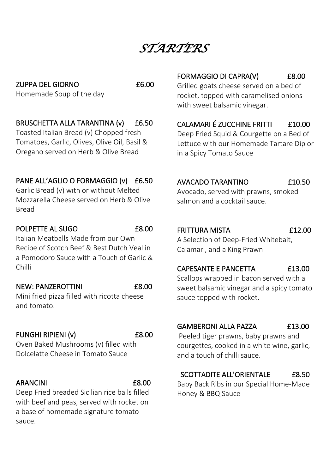*STARTERS* 

ZUPPA DEL GIORNO **EG.00** Homemade Soup of the day

#### BRUSCHETTA ALLA TARANTINA (v) £6.50

Toasted Italian Bread (v) Chopped fresh Tomatoes, Garlic, Olives, Olive Oil, Basil & Oregano served on Herb & Olive Bread

#### PANE ALL'AGLIO O FORMAGGIO (v) £6.50

Garlic Bread (v) with or without Melted Mozzarella Cheese served on Herb & Olive Bread

#### POLPETTE AL SUGO 68.00

Italian Meatballs Made from our Own Recipe of Scotch Beef & Best Dutch Veal in a Pomodoro Sauce with a Touch of Garlic & Chilli

#### NEW: PANZEROTTINI 68.00

Mini fried pizza filled with ricotta cheese and tomato.

#### FUNGHI RIPIENI (v) 68.00

Oven Baked Mushrooms (v) filled with Dolcelatte Cheese in Tomato Sauce

#### ARANCINI **E8.00**

Deep Fried breaded Sicilian rice balls filled with beef and peas, served with rocket on a base of homemade signature tomato sauce.

#### FORMAGGIO DI CAPRA(V) £8.00

Grilled goats cheese served on a bed of rocket, topped with caramelised onions with sweet balsamic vinegar.

#### CALAMARI É ZUCCHINE FRITTI £10.00

Deep Fried Squid & Courgette on a Bed of Lettuce with our Homemade Tartare Dip or in a Spicy Tomato Sauce

#### AVACADO TARANTINO £10.50

Avocado, served with prawns, smoked salmon and a cocktail sauce.

#### FRITTURA MISTA £12.00

A Selection of Deep-Fried Whitebait, Calamari, and a King Prawn

#### CAPESANTE E PANCETTA £13.00

Scallops wrapped in bacon served with a sweet balsamic vinegar and a spicy tomato sauce topped with rocket.

#### GAMBERONI ALLA PAZZA £13.00

Peeled tiger prawns, baby prawns and courgettes, cooked in a white wine, garlic, and a touch of chilli sauce.

#### SCOTTADITE ALL'ORIENTALE £8.50

Baby Back Ribs in our Special Home-Made Honey & BBQ Sauce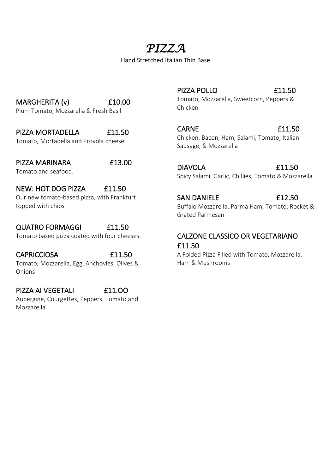# *PIZZA*

Hand Stretched Italian Thin Base

MARGHERITA (v) £10.00 Plum Tomato, Mozzarella & Fresh Basil

PIZZA MORTADELLA £11.50

Tomato, Mortadella and Provola cheese.

PIZZA MARINARA £13.00 Tomato and seafood.

NEW: HOT DOG PIZZA £11.50

Our new tomato-based pizza, with Frankfurt topped with chips

QUATRO FORMAGGI £11.50 Tomato based pizza coated with four cheeses.

CAPRICCIOSA £11.50 Tomato, Mozzarella, Egg, Anchovies, Olives & Onions

PIZZA AI VEGETALI **E11.00** Aubergine, Courgettes, Peppers, Tomato and Mozzarella

PIZZA POLLO **E11.50** Tomato, Mozzarella, Sweetcorn, Peppers & Chicken

CARNE **E11.50** Chicken, Bacon, Ham, Salami, Tomato, Italian Sausage, & Mozzarella

DIAVOLA £11.50 Spicy Salami, Garlic, Chillies, Tomato & Mozzarella

SAN DANIELE **E12.50** Buffalo Mozzarella, Parma Ham, Tomato, Rocket & Grated Parmesan

#### CALZONE CLASSICO OR VEGETARIANO £11.50

A Folded Pizza Filled with Tomato, Mozzarella, Ham & Mushrooms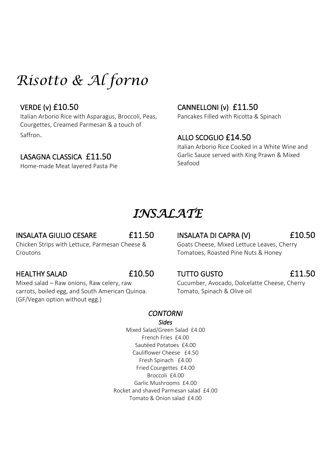# *Risotto & Al forno*

#### VERDE (v) £10.50

Italian Arborio Rice with Asparagus, Broccoli, Peas, Courgettes, Creamed Parmesan & a touch of Saffron.

#### LASAGNA CLASSICA £11.50

Home-made Meat layered Pasta Pie

#### CANNELLONI (v) £11.50

Pancakes Filled with Ricotta & Spinach

#### ALLO SCOGLIO £14.50

Italian Arborio Rice Cooked in a White Wine and Garlic Sauce served with King Prawn & Mixed Seafood

# *INSALATE*

#### INSALATA GIULIO CESARE £11.50

INSALATA DI CAPRA (V) £10.50

Goats Cheese, Mixed Lettuce Leaves, Cherry Tomatoes, Roasted Pine Nuts & Honey

#### HEALTHY SALAD £10.50

Croutons

Mixed salad – Raw onions, Raw celery, raw carrots, boiled egg, and South American Quinoa. (GF/Vegan option without egg.)

Chicken Strips with Lettuce, Parmesan Cheese &

#### TUTTO GUSTO £11.50

Cucumber, Avocado, Dolcelatte Cheese, Cherry Tomato, Spinach & Olive oil

### *CONTORNI*

*Sides* Mixed Salad/Green Salad £4.00 French Fries £4.00 Sautéed Potatoes £4.00 Cauliflower Cheese £4.50 Fresh Spinach £4.00 Fried Courgettes £4.00 Broccoli £4.00 Garlic Mushrooms £4.00 Rocket and shaved Parmesan salad £4.00 Tomato & Onion salad £4.00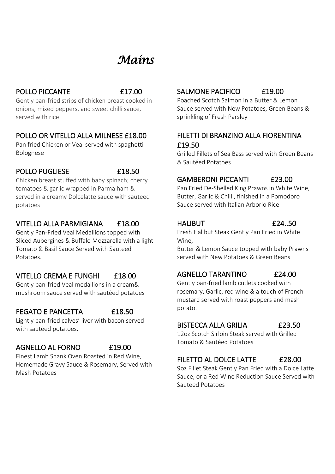# *Mains*

#### POLLO PICCANTE **E17.00**

Gently pan-fried strips of chicken breast cooked in onions, mixed peppers, and sweet chilli sauce, served with rice

#### POLLO OR VITELLO ALLA MILNESE £18.00

Pan fried Chicken or Veal served with spaghetti Bolognese

#### POLLO PUGLIESE 618.50

Chicken breast stuffed with baby spinach; cherry tomatoes & garlic wrapped in Parma ham & served in a creamy Dolcelatte sauce with sauteed potatoes

#### VITELLO ALLA PARMIGIANA £18.00

Gently Pan-Fried Veal Medallions topped with Sliced Aubergines & Buffalo Mozzarella with a light Tomato & Basil Sauce Served with Sauteed Potatoes.

#### VITELLO CREMA E FUNGHI £18.00

Gently pan-fried Veal medallions in a cream& mushroom sauce served with sautéed potatoes

#### FEGATO E PANCETTA £18.50

Lightly pan-fried calves' liver with bacon served with sautéed potatoes.

#### AGNELLO AL FORNO £19.00

Finest Lamb Shank Oven Roasted in Red Wine, Homemade Gravy Sauce & Rosemary, Served with Mash Potatoes

## SALMONE PACIFICO £19.00

Poached Scotch Salmon in a Butter & Lemon Sauce served with New Potatoes, Green Beans & sprinkling of Fresh Parsley

#### FILETTI DI BRANZINO ALLA FIORENTINA £19.50

Grilled Fillets of Sea Bass served with Green Beans & Sautéed Potatoes

#### GAMBERONI PICCANTI £23.00

Pan Fried De-Shelled King Prawns in White Wine, Butter, Garlic & Chilli, finished in a Pomodoro Sauce served with Italian Arborio Rice

#### HALIBUT £24..50

Fresh Halibut Steak Gently Pan Fried in White Wine,

Butter & Lemon Sauce topped with baby Prawns served with New Potatoes & Green Beans

#### AGNELLO TARANTINO £24.00

Gently pan-fried lamb cutlets cooked with rosemary, Garlic, red wine & a touch of French mustard served with roast peppers and mash potato.

#### BISTECCA ALLA GRILIA £23.50

12oz Scotch Sirloin Steak served with Grilled Tomato & Sautéed Potatoes

### FILETTO AL DOLCE LATTE £28.00

9oz Fillet Steak Gently Pan Fried with a Dolce Latte Sauce, or a Red Wine Reduction Sauce Served with Sautéed Potatoes